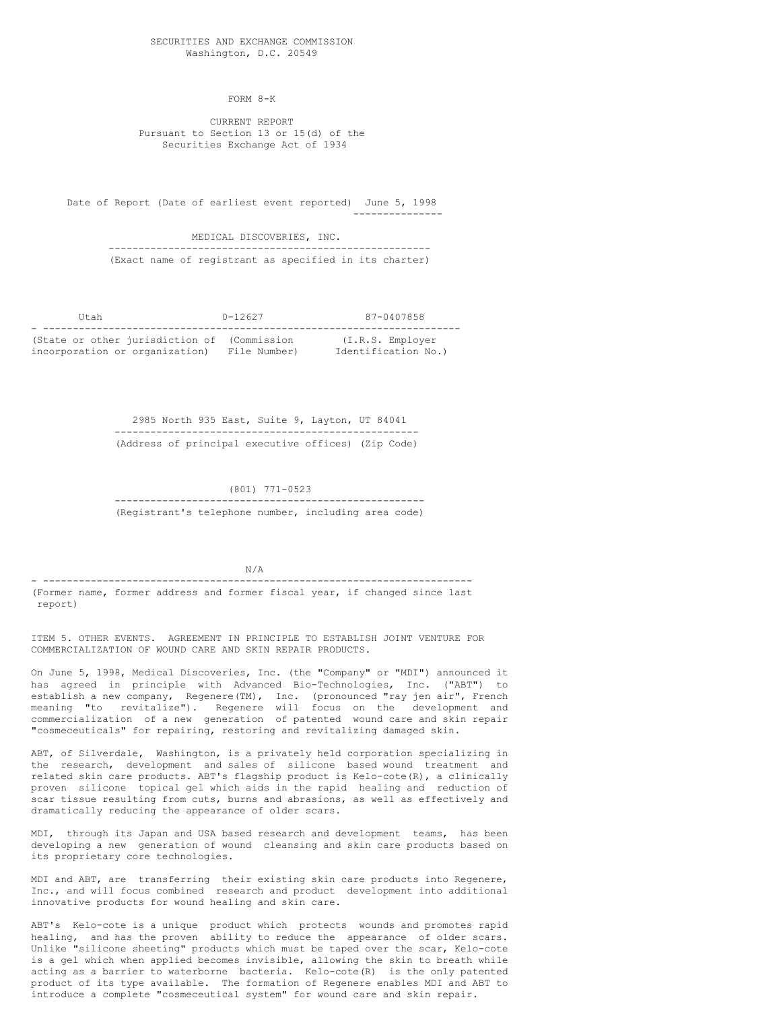FORM 8-K

CURRENT REPORT Pursuant to Section 13 or 15(d) of the Securities Exchange Act of 1934

Date of Report (Date of earliest event reported) June 5, 1998 ---------------

> MEDICAL DISCOVERIES, INC. ------------------------------------------------------ (Exact name of registrant as specified in its charter)

Utah 0-12627 87-0407858 - ---------------------------------------------------------------------- (State or other jurisdiction of (Commission (I.R.S. Employer incorporation or organization) File Number) Identification No.)

> 2985 North 935 East, Suite 9, Layton, UT 84041 --------------------------------------------------- (Address of principal executive offices) (Zip Code)

> > (801) 771-0523

---------------------------------------------------- (Registrant's telephone number, including area code)

N/A - ------------------------------------------------------------------------

(Former name, former address and former fiscal year, if changed since last report)

ITEM 5. OTHER EVENTS. AGREEMENT IN PRINCIPLE TO ESTABLISH JOINT VENTURE FOR COMMERCIALIZATION OF WOUND CARE AND SKIN REPAIR PRODUCTS.

On June 5, 1998, Medical Discoveries, Inc. (the "Company" or "MDI") announced it has agreed in principle with Advanced Bio-Technologies, Inc. ("ABT") to establish a new company, Regenere(TM), Inc. (pronounced "ray jen air", French meaning "to revitalize"). Regenere will focus on the development and commercialization of a new generation of patented wound care and skin repair "cosmeceuticals" for repairing, restoring and revitalizing damaged skin.

ABT, of Silverdale, Washington, is a privately held corporation specializing in the research, development and sales of silicone based wound treatment and related skin care products. ABT's flagship product is Kelo-cote(R), a clinically proven silicone topical gel which aids in the rapid healing and reduction of scar tissue resulting from cuts, burns and abrasions, as well as effectively and dramatically reducing the appearance of older scars.

MDI, through its Japan and USA based research and development teams, has been developing a new generation of wound cleansing and skin care products based on its proprietary core technologies.

MDI and ABT, are transferring their existing skin care products into Regenere, Inc., and will focus combined research and product development into additional innovative products for wound healing and skin care.

ABT's Kelo-cote is a unique product which protects wounds and promotes rapid healing, and has the proven ability to reduce the appearance of older scars. Unlike "silicone sheeting" products which must be taped over the scar, Kelo-cote is a gel which when applied becomes invisible, allowing the skin to breath while acting as a barrier to waterborne bacteria. Kelo-cote(R) is the only patented product of its type available. The formation of Regenere enables MDI and ABT to introduce a complete "cosmeceutical system" for wound care and skin repair.